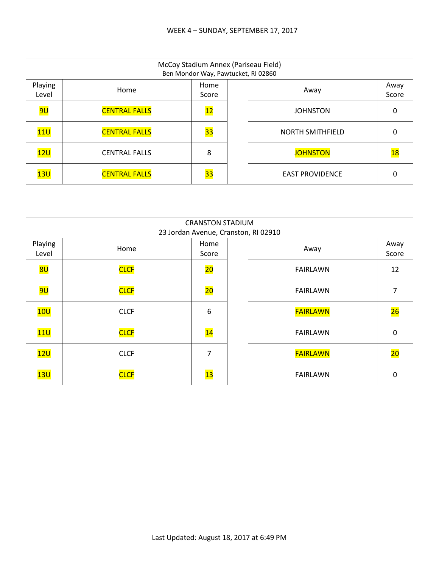|                  | McCoy Stadium Annex (Pariseau Field)<br>Ben Mondor Way, Pawtucket, RI 02860 |                 |  |                         |               |  |  |  |
|------------------|-----------------------------------------------------------------------------|-----------------|--|-------------------------|---------------|--|--|--|
| Playing<br>Level | Home                                                                        | Home<br>Score   |  | Away                    | Away<br>Score |  |  |  |
| <mark>9U</mark>  | <b>CENTRAL FALLS</b>                                                        | $\overline{12}$ |  | <b>JOHNSTON</b>         | 0             |  |  |  |
| 11 <sub>U</sub>  | <b>CENTRAL FALLS</b>                                                        | 33              |  | <b>NORTH SMITHFIELD</b> | 0             |  |  |  |
| 12U              | <b>CENTRAL FALLS</b>                                                        | 8               |  | <b>JOHNSTON</b>         | <u> 18</u>    |  |  |  |
| 13U              | <b>CENTRAL FALLS</b>                                                        | 33              |  | <b>EAST PROVIDENCE</b>  | 0             |  |  |  |

|                  | <b>CRANSTON STADIUM</b><br>23 Jordan Avenue, Cranston, RI 02910 |                 |  |                 |               |  |  |
|------------------|-----------------------------------------------------------------|-----------------|--|-----------------|---------------|--|--|
| Playing<br>Level | Home                                                            | Home<br>Score   |  | Away            | Away<br>Score |  |  |
| 8U               | <b>CLCF</b>                                                     | 20              |  | <b>FAIRLAWN</b> | 12            |  |  |
| <mark>9U</mark>  | <b>CLCF</b>                                                     | $\overline{20}$ |  | <b>FAIRLAWN</b> | 7             |  |  |
| 10U              | <b>CLCF</b>                                                     | 6               |  | <b>FAIRLAWN</b> | 26            |  |  |
| 11U              | <b>CLCF</b>                                                     | $\overline{14}$ |  | <b>FAIRLAWN</b> | 0             |  |  |
| 12U              | <b>CLCF</b>                                                     | 7               |  | <b>FAIRLAWN</b> | 20            |  |  |
| 13U              | <b>CLCF</b>                                                     | 13              |  | <b>FAIRLAWN</b> | 0             |  |  |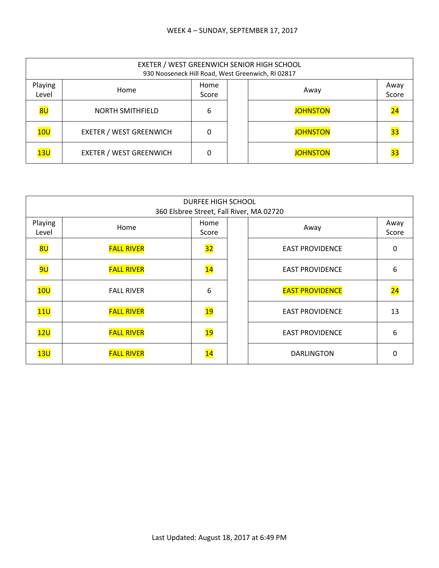|                  | EXETER / WEST GREENWICH SENIOR HIGH SCHOOL<br>930 Nooseneck Hill Road, West Greenwich, RI 02817 |               |  |                 |                 |  |  |  |
|------------------|-------------------------------------------------------------------------------------------------|---------------|--|-----------------|-----------------|--|--|--|
| Playing<br>Level | Home                                                                                            | Home<br>Score |  | Away            | Away<br>Score   |  |  |  |
| 8 <sub>U</sub>   | <b>NORTH SMITHFIELD</b>                                                                         | 6             |  | <b>JOHNSTON</b> | $\overline{24}$ |  |  |  |
| 10U              | <b>EXETER / WEST GREENWICH</b>                                                                  | 0             |  | <b>JOHNSTON</b> | 33              |  |  |  |
| 13U              | <b>EXETER / WEST GREENWICH</b>                                                                  | $\Omega$      |  | <b>JOHNSTON</b> | 33              |  |  |  |

| <b>DURFEE HIGH SCHOOL</b><br>360 Elsbree Street, Fall River, MA 02720 |                   |                 |  |                        |                 |  |  |
|-----------------------------------------------------------------------|-------------------|-----------------|--|------------------------|-----------------|--|--|
| Playing<br>Level                                                      | Home              | Home<br>Score   |  | Away                   | Away<br>Score   |  |  |
| 8U                                                                    | <b>FALL RIVER</b> | 32              |  | <b>EAST PROVIDENCE</b> | 0               |  |  |
| <mark>9U</mark>                                                       | <b>FALL RIVER</b> | $\overline{14}$ |  | <b>EAST PROVIDENCE</b> | 6               |  |  |
| 10U                                                                   | <b>FALL RIVER</b> | 6               |  | <b>EAST PROVIDENCE</b> | $\overline{24}$ |  |  |
| 11U                                                                   | <b>FALL RIVER</b> | <u> 19</u>      |  | <b>EAST PROVIDENCE</b> | 13              |  |  |
| 12U                                                                   | <b>FALL RIVER</b> | $\overline{19}$ |  | <b>EAST PROVIDENCE</b> | 6               |  |  |
| 13U                                                                   | <b>FALL RIVER</b> | 14              |  | <b>DARLINGTON</b>      | O               |  |  |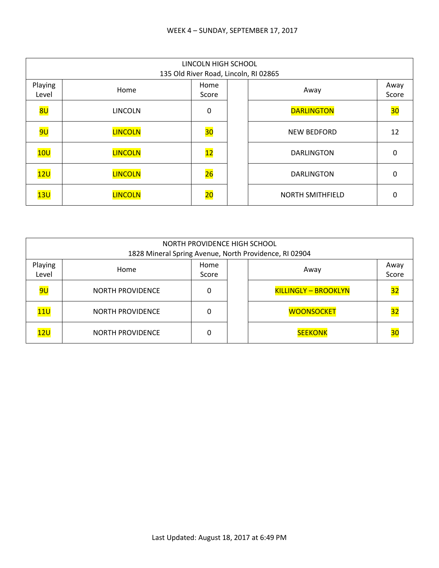|                  | LINCOLN HIGH SCHOOL<br>135 Old River Road, Lincoln, RI 02865 |                 |  |                         |               |  |  |  |
|------------------|--------------------------------------------------------------|-----------------|--|-------------------------|---------------|--|--|--|
| Playing<br>Level | Home                                                         | Home<br>Score   |  | Away                    | Away<br>Score |  |  |  |
| 8U               | <b>LINCOLN</b>                                               | 0               |  | <b>DARLINGTON</b>       | 30            |  |  |  |
| <mark>9U</mark>  | <b>LINCOLN</b>                                               | 30              |  | <b>NEW BEDFORD</b>      | 12            |  |  |  |
| 10U              | <b>LINCOLN</b>                                               | 12              |  | <b>DARLINGTON</b>       | 0             |  |  |  |
| 12U              | <b>LINCOLN</b>                                               | 26              |  | <b>DARLINGTON</b>       | 0             |  |  |  |
| 13U              | <b>LINCOLN</b>                                               | $\overline{20}$ |  | <b>NORTH SMITHFIELD</b> | 0             |  |  |  |

|                                                   | NORTH PROVIDENCE HIGH SCHOOL<br>1828 Mineral Spring Avenue, North Providence, RI 02904 |   |  |                             |               |  |  |  |
|---------------------------------------------------|----------------------------------------------------------------------------------------|---|--|-----------------------------|---------------|--|--|--|
| Playing<br>Home<br>Home<br>Away<br>Level<br>Score |                                                                                        |   |  |                             | Away<br>Score |  |  |  |
| 9U                                                | <b>NORTH PROVIDENCE</b>                                                                | 0 |  | <b>KILLINGLY - BROOKLYN</b> | 32            |  |  |  |
| 11U                                               | <b>NORTH PROVIDENCE</b>                                                                | ŋ |  | <b>WOONSOCKET</b>           | 32            |  |  |  |
| 12U                                               | <b>NORTH PROVIDENCE</b>                                                                |   |  | <b>SEEKONK</b>              | 30            |  |  |  |